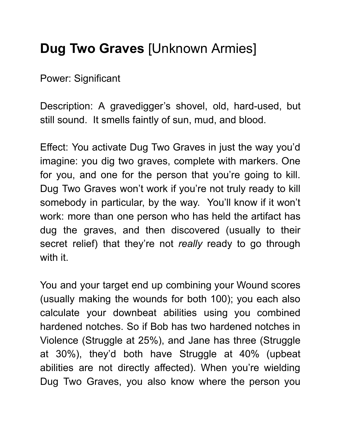## Dug Two Graves [Unknown Armies]

Power: Significant

Description: A gravedigger's shovel, old, hard-used, but still sound. It smells faintly of sun, mud, and blood.

Effect: You activate Dug Two Graves in just the way you'd imagine: you dig two graves, complete with markers. One for you, and one for the person that you're going to kill. Dug Two Graves won't work if you're not truly ready to kill somebody in particular, by the way. You'll know if it won't work: more than one person who has held the artifact has dug the graves, and then discovered (usually to their secret relief) that they're not really ready to go through with it.

You and your target end up combining your Wound scores (usually making the wounds for both 100); you each also calculate your downbeat abilities using you combined hardened notches. So if Bob has two hardened notches in Violence (Struggle at 25%), and Jane has three (Struggle at 30%), they'd both have Struggle at 40% (upbeat abilities are not directly affected). When you're wielding Dug Two Graves, you also know where the person you